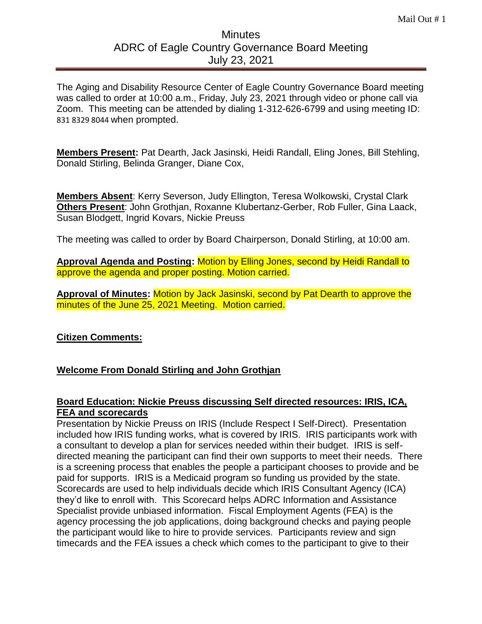# **Minutes** ADRC of Eagle Country Governance Board Meeting July 23, 2021

The Aging and Disability Resource Center of Eagle Country Governance Board meeting was called to order at 10:00 a.m., Friday, July 23, 2021 through video or phone call via Zoom. This meeting can be attended by dialing 1-312-626-6799 and using meeting ID: 831 8329 8044 when prompted.

**Members Present:** Pat Dearth, Jack Jasinski, Heidi Randall, Eling Jones, Bill Stehling, Donald Stirling, Belinda Granger, Diane Cox,

**Members Absent**: Kerry Severson, Judy Ellington, Teresa Wolkowski, Crystal Clark **Others Present**: John Grothjan, Roxanne Klubertanz-Gerber, Rob Fuller, Gina Laack, Susan Blodgett, Ingrid Kovars, Nickie Preuss

The meeting was called to order by Board Chairperson, Donald Stirling, at 10:00 am.

**Approval Agenda and Posting:** Motion by Elling Jones, second by Heidi Randall to approve the agenda and proper posting. Motion carried.

**Approval of Minutes:** Motion by Jack Jasinski, second by Pat Dearth to approve the minutes of the June 25, 2021 Meeting. Motion carried.

# **Citizen Comments:**

# **Welcome From Donald Stirling and John Grothjan**

## **Board Education: Nickie Preuss discussing Self directed resources: IRIS, ICA, FEA and scorecards**

Presentation by Nickie Preuss on IRIS (Include Respect I Self-Direct). Presentation included how IRIS funding works, what is covered by IRIS. IRIS participants work with a consultant to develop a plan for services needed within their budget. IRIS is selfdirected meaning the participant can find their own supports to meet their needs. There is a screening process that enables the people a participant chooses to provide and be paid for supports. IRIS is a Medicaid program so funding us provided by the state. Scorecards are used to help individuals decide which IRIS Consultant Agency (ICA) they'd like to enroll with. This Scorecard helps ADRC Information and Assistance Specialist provide unbiased information. Fiscal Employment Agents (FEA) is the agency processing the job applications, doing background checks and paying people the participant would like to hire to provide services. Participants review and sign timecards and the FEA issues a check which comes to the participant to give to their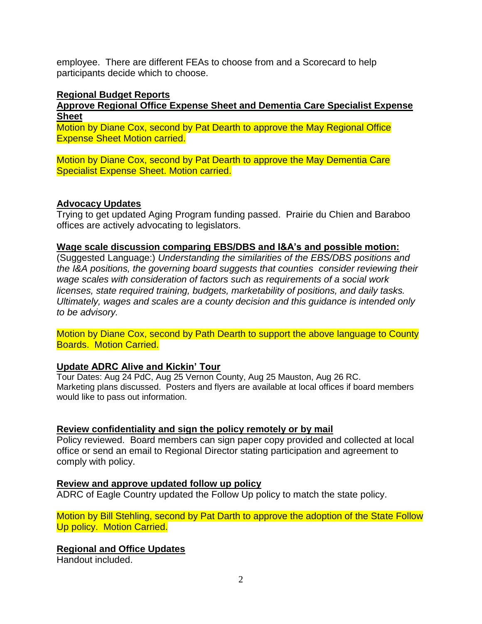employee. There are different FEAs to choose from and a Scorecard to help participants decide which to choose.

#### **Regional Budget Reports**

**Approve Regional Office Expense Sheet and Dementia Care Specialist Expense Sheet**

Motion by Diane Cox, second by Pat Dearth to approve the May Regional Office Expense Sheet Motion carried.

Motion by Diane Cox, second by Pat Dearth to approve the May Dementia Care Specialist Expense Sheet. Motion carried.

## **Advocacy Updates**

Trying to get updated Aging Program funding passed. Prairie du Chien and Baraboo offices are actively advocating to legislators.

#### **Wage scale discussion comparing EBS/DBS and I&A's and possible motion:**

(Suggested Language:) *Understanding the similarities of the EBS/DBS positions and the I&A positions, the governing board suggests that counties consider reviewing their wage scales with consideration of factors such as requirements of a social work licenses, state required training, budgets, marketability of positions, and daily tasks. Ultimately, wages and scales are a county decision and this guidance is intended only to be advisory.*

Motion by Diane Cox, second by Path Dearth to support the above language to County Boards. Motion Carried.

## **Update ADRC Alive and Kickin' Tour**

Tour Dates: Aug 24 PdC, Aug 25 Vernon County, Aug 25 Mauston, Aug 26 RC. Marketing plans discussed. Posters and flyers are available at local offices if board members would like to pass out information.

## **Review confidentiality and sign the policy remotely or by mail**

Policy reviewed. Board members can sign paper copy provided and collected at local office or send an email to Regional Director stating participation and agreement to comply with policy.

## **Review and approve updated follow up policy**

ADRC of Eagle Country updated the Follow Up policy to match the state policy.

Motion by Bill Stehling, second by Pat Darth to approve the adoption of the State Follow Up policy. Motion Carried.

## **Regional and Office Updates**

Handout included.